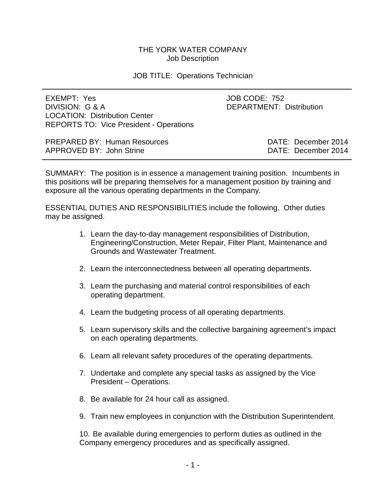## THE YORK WATER COMPANY Job Description

### JOB TITLE: Operations Technician

| EXEMPT: Yes<br>DIVISION: G & A<br><b>LOCATION: Distribution Center</b><br><b>REPORTS TO: Vice President - Operations</b> | JOB CODE: 752<br><b>DEPARTMENT: Distribution</b> |
|--------------------------------------------------------------------------------------------------------------------------|--------------------------------------------------|
| <b>PREPARED BY: Human Resources</b>                                                                                      | DATE: December 2014                              |

APPROVED BY: John Strine DATE: December 2014

SUMMARY: The position is in essence a management training position. Incumbents in this positions will be preparing themselves for a management position by training and exposure all the various operating departments in the Company.

ESSENTIAL DUTIES AND RESPONSIBILITIES include the following. Other duties may be assigned.

- 1. Learn the day-to-day management responsibilities of Distribution, Engineering/Construction, Meter Repair, Filter Plant, Maintenance and Grounds and Wastewater Treatment.
- 2. Learn the interconnectedness between all operating departments.
- 3. Learn the purchasing and material control responsibilities of each operating department.
- 4. Learn the budgeting process of all operating departments.
- 5. Learn supervisory skills and the collective bargaining agreement's impact on each operating departments.
- 6. Learn all relevant safety procedures of the operating departments.
- 7. Undertake and complete any special tasks as assigned by the Vice President – Operations.
- 8. Be available for 24 hour call as assigned.
- 9. Train new employees in conjunction with the Distribution Superintendent.

10. Be available during emergencies to perform duties as outlined in the Company emergency procedures and as specifically assigned.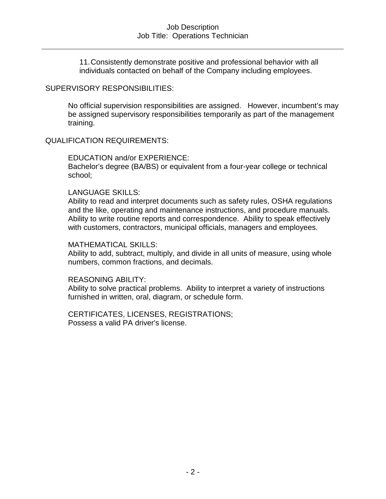11.Consistently demonstrate positive and professional behavior with all individuals contacted on behalf of the Company including employees.

## SUPERVISORY RESPONSIBILITIES:

No official supervision responsibilities are assigned. However, incumbent's may be assigned supervisory responsibilities temporarily as part of the management training.

## QUALIFICATION REQUIREMENTS:

### EDUCATION and/or EXPERIENCE:

Bachelor's degree (BA/BS) or equivalent from a four-year college or technical school;

### LANGUAGE SKILLS:

Ability to read and interpret documents such as safety rules, OSHA regulations and the like, operating and maintenance instructions, and procedure manuals. Ability to write routine reports and correspondence. Ability to speak effectively with customers, contractors, municipal officials, managers and employees.

#### MATHEMATICAL SKILLS:

Ability to add, subtract, multiply, and divide in all units of measure, using whole numbers, common fractions, and decimals.

#### REASONING ABILITY:

Ability to solve practical problems. Ability to interpret a variety of instructions furnished in written, oral, diagram, or schedule form.

CERTIFICATES, LICENSES, REGISTRATIONS; Possess a valid PA driver's license.